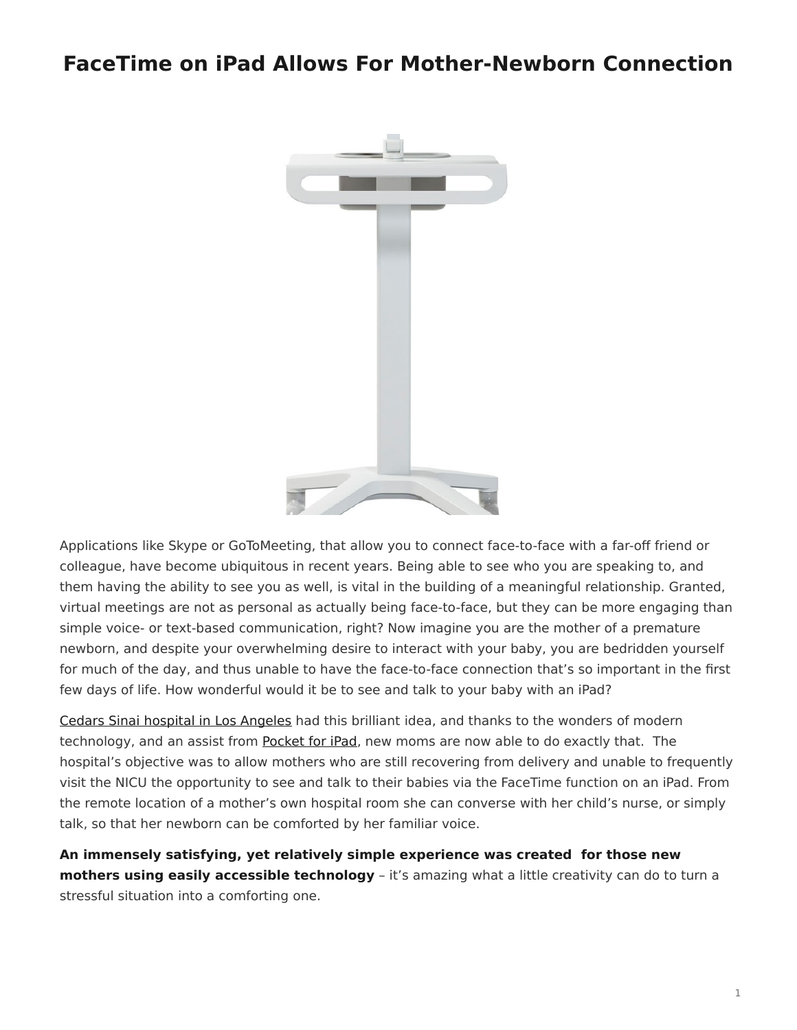## <span id="page-0-0"></span>**FaceTime on iPad Allows For Mother-Newborn Connection**



Applications like Skype or GoToMeeting, that allow you to connect face-to-face with a far-off friend or colleague, have become ubiquitous in recent years. Being able to see who you are speaking to, and them having the ability to see you as well, is vital in the building of a meaningful relationship. Granted, virtual meetings are not as personal as actually being face-to-face, but they can be more engaging than simple voice- or text-based communication, right? Now imagine you are the mother of a premature newborn, and despite your overwhelming desire to interact with your baby, you are bedridden yourself for much of the day, and thus unable to have the face-to-face connection that's so important in the first few days of life. How wonderful would it be to see and talk to your baby with an iPad?

[Cedars Sinai hospital in Los Angeles](http://cedars-sinai.edu/index.aspx) had this brilliant idea, and thanks to the wonders of modern technology, and an assist from [Pocket for iPad](https://www.steelcase.com/products/tables/pocket/), new moms are now able to do exactly that. The hospital's objective was to allow mothers who are still recovering from delivery and unable to frequently visit the NICU the opportunity to see and talk to their babies via the FaceTime function on an iPad. From the remote location of a mother's own hospital room she can converse with her child's nurse, or simply talk, so that her newborn can be comforted by her familiar voice.

**An immensely satisfying, yet relatively simple experience was created for those new mothers using easily accessible technology** – it's amazing what a little creativity can do to turn a stressful situation into a comforting one.